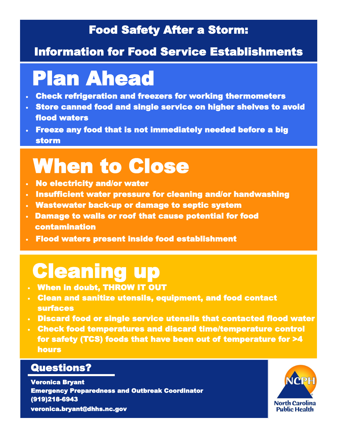## Food Safety After a Storm:

### Information for Food Service Establishments

# Plan Ahead

- Check refrigeration and freezers for working thermometers
- Store canned food and single service on higher shelves to avoid flood waters
- Freeze any food that is not immediately needed before a big storm

# When to Close

- No electricity and/or water
- Insufficient water pressure for cleaning and/or handwashing
- Wastewater back-up or damage to septic system
- Damage to walls or roof that cause potential for food contamination
- Flood waters present inside food establishment

## Cleaning up

- When in doubt, THROW IT OUT
- Clean and sanitize utensils, equipment, and food contact surfaces
- Discard food or single service utensils that contacted flood water
- Check food temperatures and discard time/temperature control for safety (TCS) foods that have been out of temperature for >4 hours

#### Questions?

Veronica Bryant Emergency Preparedness and Outbreak Coordinator (919)218-6943 veronica.bryant@dhhs.nc.gov

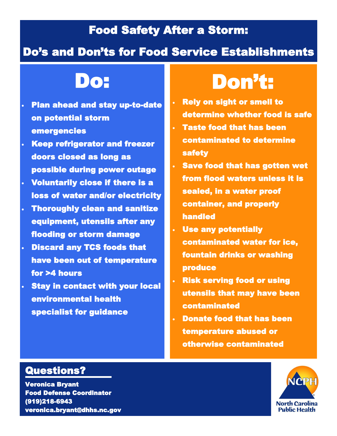## Food Safety After a Storm:

### Do's and Don'ts for Food Service Establishments

## Do:

- Plan ahead and stay up-to-date on potential storm emergencies
- Keep refrigerator and freezer doors closed as long as possible during power outage
- Voluntarily close if there is a loss of water and/or electricity
- **Thoroughly clean and sanitize** equipment, utensils after any flooding or storm damage
- Discard any TCS foods that have been out of temperature for >4 hours
- **Stay in contact with your local** environmental health specialist for guidance

# Don't:

- Rely on sight or smell to determine whether food is safe
- Taste food that has been contaminated to determine safety
- Save food that has gotten wet from flood waters unless it is sealed, in a water proof container, and properly handled
- Use any potentially contaminated water for ice, fountain drinks or washing produce
- Risk serving food or using utensils that may have been contaminated
- Donate food that has been temperature abused or otherwise contaminated

### Questions?

Veronica Bryant Food Defense Coordinator (919)218-6943 veronica.bryant@dhhs.nc.gov